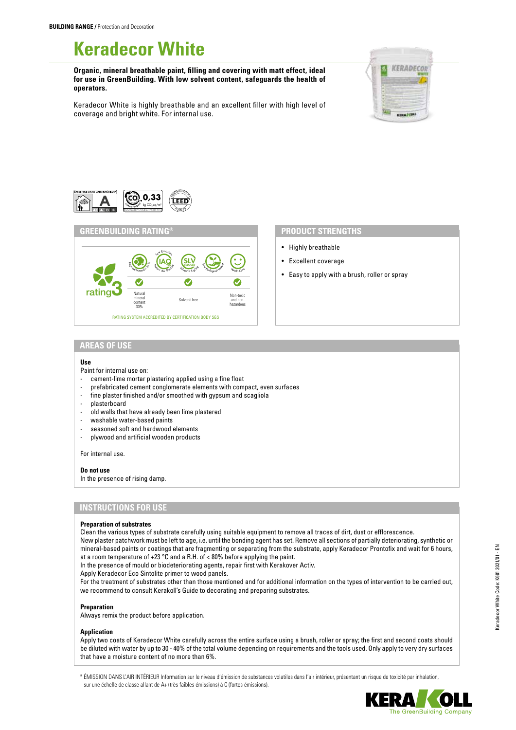# **Keradecor White**

**Organic, mineral breathable paint, filling and covering with matt effect, ideal for use in GreenBuilding. With low solvent content, safeguards the health of operators.**



Keradecor White is highly breathable and an excellent filler with high level of coverage and bright white. For internal use.





- Highly breathable
- Excellent coverage
- Easy to apply with a brush, roller or spray

### **AREAS OF USE**

#### **Use**

Paint for internal use on:

- cement-lime mortar plastering applied using a fine float
- prefabricated cement conglomerate elements with compact, even surfaces
- fine plaster finished and/or smoothed with gypsum and scagliola
- plasterboard
- old walls that have already been lime plastered
- washable water-based paints
- seasoned soft and hardwood elements
- plywood and artificial wooden products

For internal use.

#### **Do not use**

In the presence of rising damp.

# **INSTRUCTIONS FOR USE**

#### **Preparation of substrates**

Clean the various types of substrate carefully using suitable equipment to remove all traces of dirt, dust or efflorescence.

New plaster patchwork must be left to age, i.e. until the bonding agent has set. Remove all sections of partially deteriorating, synthetic or mineral-based paints or coatings that are fragmenting or separating from the substrate, apply Keradecor Prontofix and wait for 6 hours, at a room temperature of +23 °C and a R.H. of < 80% before applying the paint.

In the presence of mould or biodeteriorating agents, repair first with Kerakover Activ.

Apply Keradecor Eco Sintolite primer to wood panels.

For the treatment of substrates other than those mentioned and for additional information on the types of intervention to be carried out, we recommend to consult Kerakoll's Guide to decorating and preparing substrates.

#### **Preparation**

Always remix the product before application.

#### **Application**

Apply two coats of Keradecor White carefully across the entire surface using a brush, roller or spray; the first and second coats should be diluted with water by up to 30 - 40% of the total volume depending on requirements and the tools used. Only apply to very dry surfaces that have a moisture content of no more than 6%.

\* ÉMISSION DANS L'AIR INTÉRIEUR Information sur le niveau d'émission de substances volatiles dans l'air intérieur, présentant un risque de toxicité par inhalation, sur une échelle de classe allant de A+ (très faibles émissions) à C (fortes émissions).